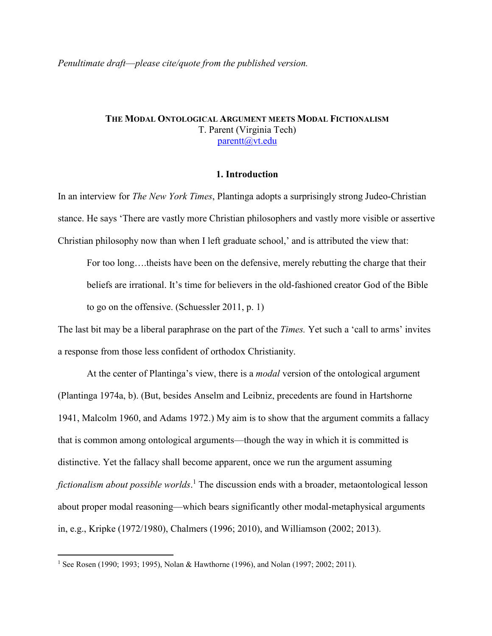# **THE MODAL ONTOLOGICAL ARGUMENT MEETS MODAL FICTIONALISM** T. Parent (Virginia Tech) parentt@vt.edu

### **1. Introduction**

In an interview for *The New York Times*, Plantinga adopts a surprisingly strong Judeo-Christian stance. He says 'There are vastly more Christian philosophers and vastly more visible or assertive Christian philosophy now than when I left graduate school,' and is attributed the view that:

For too long….theists have been on the defensive, merely rebutting the charge that their beliefs are irrational. It's time for believers in the old-fashioned creator God of the Bible to go on the offensive. (Schuessler 2011, p. 1)

The last bit may be a liberal paraphrase on the part of the *Times.* Yet such a 'call to arms' invites a response from those less confident of orthodox Christianity.

 At the center of Plantinga's view, there is a *modal* version of the ontological argument (Plantinga 1974a, b). (But, besides Anselm and Leibniz, precedents are found in Hartshorne 1941, Malcolm 1960, and Adams 1972.) My aim is to show that the argument commits a fallacy that is common among ontological arguments—though the way in which it is committed is distinctive. Yet the fallacy shall become apparent, once we run the argument assuming fictionalism about possible worlds.<sup>1</sup> The discussion ends with a broader, metaontological lesson about proper modal reasoning—which bears significantly other modal-metaphysical arguments in, e.g., Kripke (1972/1980), Chalmers (1996; 2010), and Williamson (2002; 2013).

<sup>1&</sup>lt;br>
<sup>1</sup> See Rosen (1990; 1993; 1995), Nolan & Hawthorne (1996), and Nolan (1997; 2002; 2011).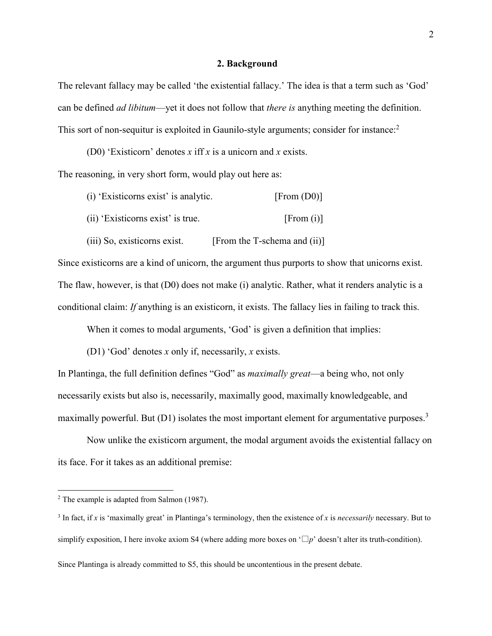### **2. Background**

The relevant fallacy may be called 'the existential fallacy.' The idea is that a term such as 'God' can be defined *ad libitum*—yet it does not follow that *there is* anything meeting the definition. This sort of non-sequitur is exploited in Gaunilo-style arguments; consider for instance:<sup>2</sup>

(D0) 'Existicorn' denotes *x* iff *x* is a unicorn and *x* exists. The reasoning, in very short form, would play out here as:

| [From (D0)]                  | (i) 'Existicorns exist' is analytic. |
|------------------------------|--------------------------------------|
| [From (i)]                   | (ii) 'Existicorns exist' is true.    |
| [From the T-schema and (ii)] | (iii) So, existicorns exist.         |

Since existicorns are a kind of unicorn, the argument thus purports to show that unicorns exist. The flaw, however, is that (D0) does not make (i) analytic. Rather, what it renders analytic is a conditional claim: *If* anything is an existicorn, it exists. The fallacy lies in failing to track this.

When it comes to modal arguments, 'God' is given a definition that implies:

(D1) 'God' denotes *x* only if, necessarily, *x* exists.

In Plantinga, the full definition defines "God" as *maximally great*—a being who, not only necessarily exists but also is, necessarily, maximally good, maximally knowledgeable, and maximally powerful. But  $(D1)$  isolates the most important element for argumentative purposes.<sup>3</sup>

Now unlike the existicorn argument, the modal argument avoids the existential fallacy on its face. For it takes as an additional premise:

Since Plantinga is already committed to S5, this should be uncontentious in the present debate.

<sup>&</sup>lt;sup>2</sup> The example is adapted from Salmon (1987).

<sup>3</sup> In fact, if *x* is 'maximally great' in Plantinga's terminology, then the existence of *x* is *necessarily* necessary. But to simplify exposition, I here invoke axiom S4 (where adding more boxes on  $\Box p$ <sup>'</sup> doesn't alter its truth-condition).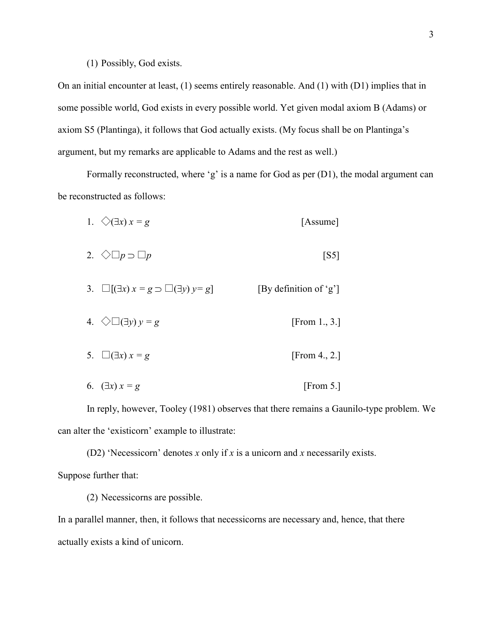### (1) Possibly, God exists.

On an initial encounter at least, (1) seems entirely reasonable. And (1) with (D1) implies that in some possible world, God exists in every possible world. Yet given modal axiom B (Adams) or axiom S5 (Plantinga), it follows that God actually exists. (My focus shall be on Plantinga's argument, but my remarks are applicable to Adams and the rest as well.)

Formally reconstructed, where 'g' is a name for God as per (D1), the modal argument can be reconstructed as follows:

1. 
$$
\diamondsuit (\exists x) x = g
$$
 [Assume]

- 2.  $\Diamond \Box p \supset \Box p$  [S5]
- 3.  $\Box$ [(∃*x*) *x* = *g*  $\Box$ [∃*y*) *y* = *g*] [By definition of 'g']
- 4.  $\Diamond \Box (\exists y) y = g$  [From 1., 3.]
- 5.  $\square(\exists x) x = g$  [From 4., 2.]
- 6.  $(\exists x) x = g$  [From 5.]

In reply, however, Tooley (1981) observes that there remains a Gaunilo-type problem. We can alter the 'existicorn' example to illustrate:

(D2) 'Necessicorn' denotes *x* only if *x* is a unicorn and *x* necessarily exists. Suppose further that:

(2) Necessicorns are possible.

In a parallel manner, then, it follows that necessicorns are necessary and, hence, that there actually exists a kind of unicorn.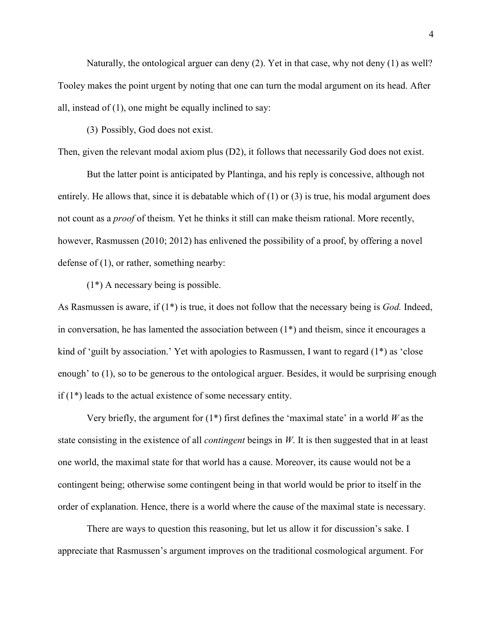Naturally, the ontological arguer can deny  $(2)$ . Yet in that case, why not deny  $(1)$  as well? Tooley makes the point urgent by noting that one can turn the modal argument on its head. After all, instead of (1), one might be equally inclined to say:

(3) Possibly, God does not exist.

Then, given the relevant modal axiom plus (D2), it follows that necessarily God does not exist.

But the latter point is anticipated by Plantinga, and his reply is concessive, although not entirely. He allows that, since it is debatable which of (1) or (3) is true, his modal argument does not count as a *proof* of theism. Yet he thinks it still can make theism rational. More recently, however, Rasmussen (2010; 2012) has enlivened the possibility of a proof, by offering a novel defense of (1), or rather, something nearby:

 $(1^*)$  A necessary being is possible.

As Rasmussen is aware, if (1\*) is true, it does not follow that the necessary being is *God.* Indeed, in conversation, he has lamented the association between (1\*) and theism, since it encourages a kind of 'guilt by association.' Yet with apologies to Rasmussen, I want to regard  $(1^*)$  as 'close enough' to (1), so to be generous to the ontological arguer. Besides, it would be surprising enough if (1\*) leads to the actual existence of some necessary entity.

 Very briefly, the argument for (1\*) first defines the 'maximal state' in a world *W* as the state consisting in the existence of all *contingent* beings in *W*. It is then suggested that in at least one world, the maximal state for that world has a cause. Moreover, its cause would not be a contingent being; otherwise some contingent being in that world would be prior to itself in the order of explanation. Hence, there is a world where the cause of the maximal state is necessary.

 There are ways to question this reasoning, but let us allow it for discussion's sake. I appreciate that Rasmussen's argument improves on the traditional cosmological argument. For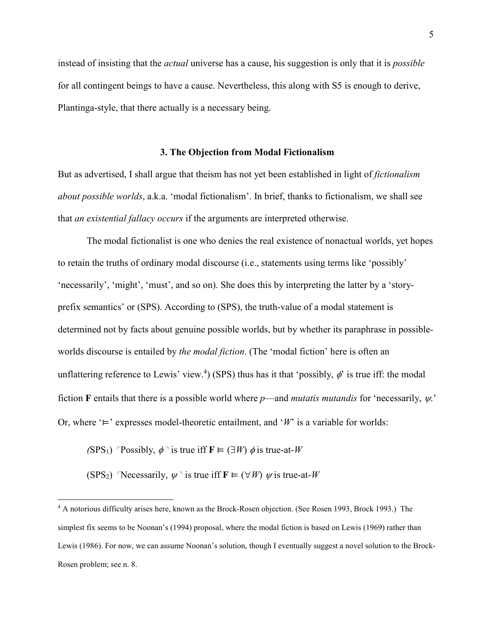instead of insisting that the *actual* universe has a cause, his suggestion is only that it is *possible*  for all contingent beings to have a cause. Nevertheless, this along with S5 is enough to derive, Plantinga-style, that there actually is a necessary being.

### **3. The Objection from Modal Fictionalism**

But as advertised, I shall argue that theism has not yet been established in light of *fictionalism about possible worlds*, a.k.a. 'modal fictionalism'. In brief, thanks to fictionalism, we shall see that *an existential fallacy occurs* if the arguments are interpreted otherwise.

The modal fictionalist is one who denies the real existence of nonactual worlds, yet hopes to retain the truths of ordinary modal discourse (i.e., statements using terms like 'possibly' 'necessarily', 'might', 'must', and so on). She does this by interpreting the latter by a 'storyprefix semantics' or (SPS). According to (SPS), the truth-value of a modal statement is determined not by facts about genuine possible worlds, but by whether its paraphrase in possibleworlds discourse is entailed by *the modal fiction*. (The 'modal fiction' here is often an unflattering reference to Lewis' view.<sup>4</sup>) (SPS) thus has it that 'possibly,  $\phi$ ' is true iff: the modal fiction **F** entails that there is a possible world where *p*—and *mutatis mutandis* for 'necessarily, ψ.' Or, where '⊨' expresses model-theoretic entailment, and '*W*' is a variable for worlds:

 $(SPS_1)$  <sup> $\Gamma$ </sup> Possibly,  $\phi$ <sup> $\top$ </sup> is true iff **F**  $\models$   $(\exists W)$   $\phi$  is true-at-*W* 

(SPS<sub>2</sub>) Necessarily,  $\psi$ <sup>-</sup> is true iff **F**  $\models$  ( $\forall$ *W*)  $\psi$  is true-at-*W* 

 4 A notorious difficulty arises here, known as the Brock-Rosen objection. (See Rosen 1993, Brock 1993.) The simplest fix seems to be Noonan's (1994) proposal, where the modal fiction is based on Lewis (1969) rather than Lewis (1986). For now, we can assume Noonan's solution, though I eventually suggest a novel solution to the Brock-Rosen problem; see n. 8.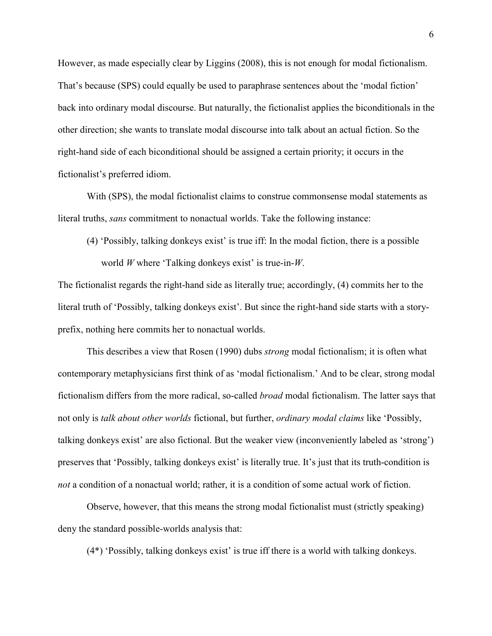However, as made especially clear by Liggins (2008), this is not enough for modal fictionalism. That's because (SPS) could equally be used to paraphrase sentences about the 'modal fiction' back into ordinary modal discourse. But naturally, the fictionalist applies the biconditionals in the other direction; she wants to translate modal discourse into talk about an actual fiction. So the right-hand side of each biconditional should be assigned a certain priority; it occurs in the fictionalist's preferred idiom.

 With (SPS), the modal fictionalist claims to construe commonsense modal statements as literal truths, *sans* commitment to nonactual worlds. Take the following instance:

(4) 'Possibly, talking donkeys exist' is true iff: In the modal fiction, there is a possible world *W* where 'Talking donkeys exist' is true-in-*W*.

The fictionalist regards the right-hand side as literally true; accordingly, (4) commits her to the literal truth of 'Possibly, talking donkeys exist'. But since the right-hand side starts with a storyprefix, nothing here commits her to nonactual worlds.

This describes a view that Rosen (1990) dubs *strong* modal fictionalism; it is often what contemporary metaphysicians first think of as 'modal fictionalism.' And to be clear, strong modal fictionalism differs from the more radical, so-called *broad* modal fictionalism. The latter says that not only is *talk about other worlds* fictional, but further, *ordinary modal claims* like 'Possibly, talking donkeys exist' are also fictional. But the weaker view (inconveniently labeled as 'strong') preserves that 'Possibly, talking donkeys exist' is literally true. It's just that its truth-condition is *not* a condition of a nonactual world; rather, it is a condition of some actual work of fiction.

Observe, however, that this means the strong modal fictionalist must (strictly speaking) deny the standard possible-worlds analysis that:

(4\*) 'Possibly, talking donkeys exist' is true iff there is a world with talking donkeys.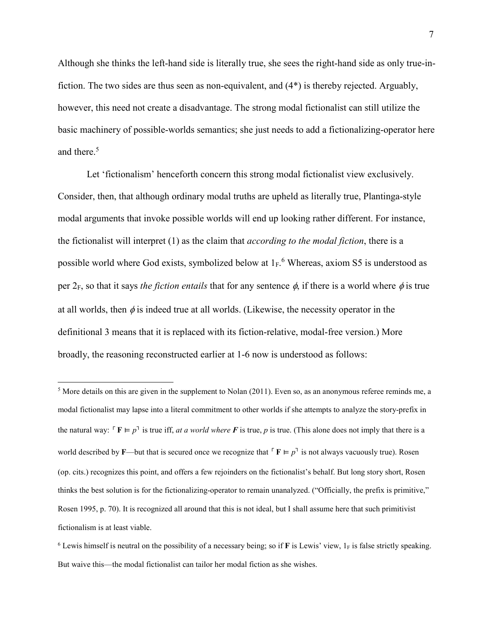Although she thinks the left-hand side is literally true, she sees the right-hand side as only true-infiction. The two sides are thus seen as non-equivalent, and (4\*) is thereby rejected. Arguably, however, this need not create a disadvantage. The strong modal fictionalist can still utilize the basic machinery of possible-worlds semantics; she just needs to add a fictionalizing-operator here and there.<sup>5</sup>

Let 'fictionalism' henceforth concern this strong modal fictionalist view exclusively. Consider, then, that although ordinary modal truths are upheld as literally true, Plantinga-style modal arguments that invoke possible worlds will end up looking rather different. For instance, the fictionalist will interpret (1) as the claim that *according to the modal fiction*, there is a possible world where God exists, symbolized below at  $1_F$ . Whereas, axiom S5 is understood as per  $2_F$ , so that it says *the fiction entails* that for any sentence  $\phi$ , if there is a world where  $\phi$  is true at all worlds, then  $\phi$  is indeed true at all worlds. (Likewise, the necessity operator in the definitional 3 means that it is replaced with its fiction-relative, modal-free version.) More broadly, the reasoning reconstructed earlier at 1-6 now is understood as follows:

 $\overline{a}$ <sup>5</sup> More details on this are given in the supplement to Nolan (2011). Even so, as an anonymous referee reminds me, a modal fictionalist may lapse into a literal commitment to other worlds if she attempts to analyze the story-prefix in the natural way:  $\Gamma \mathbf{F} \models p^{\mathsf{T}}$  is true iff, *at a world where*  $\mathbf{F}$  is true,  $p$  is true. (This alone does not imply that there is a world described by **F**—but that is secured once we recognize that  $\Gamma$ **F**  $\models$   $p^{\text{-}}$  is not always vacuously true). Rosen (op. cits.) recognizes this point, and offers a few rejoinders on the fictionalist's behalf. But long story short, Rosen thinks the best solution is for the fictionalizing-operator to remain unanalyzed. ("Officially, the prefix is primitive," Rosen 1995, p. 70). It is recognized all around that this is not ideal, but I shall assume here that such primitivist fictionalism is at least viable.

 $6$  Lewis himself is neutral on the possibility of a necessary being; so if **F** is Lewis' view,  $1_F$  is false strictly speaking. But waive this—the modal fictionalist can tailor her modal fiction as she wishes.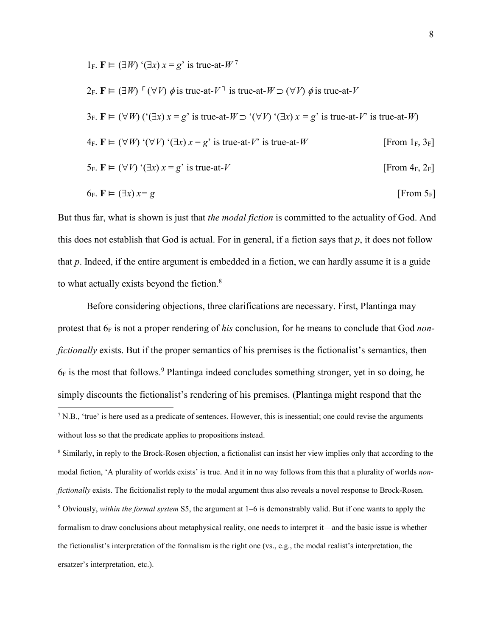1F. **F** ⊨ (∃*W*) '(∃*x*) *x* = *g*' is true-at-*W* <sup>7</sup> 2<sub>F</sub>. **F** ⊨ (∃*W*) <sup>Γ</sup> (∀*V*)  $\phi$  is true-at-*V*<sup>-1</sup> is true-at-*W* ⊃ (∀*V*)  $\phi$  is true-at-*V* 3F. **F** ⊨ (∀*W*) ('(∃*x*) *x* = *g*' is true-at-*W* ⊃ '(∀*V*) '(∃*x*) *x = g*' is true-at-*V*' is true-at-*W*)  $4_F$ .  $\mathbf{F} \models (\forall W) (\forall V) (\exists x) x = g'$  is true-at-*V*' is true-at-*W* [From 1<sub>F</sub>, 3<sub>F</sub>]  $5_F$ .  $\mathbf{F} \models (\forall V)$  '( $\exists x$ )  $x = g'$  is true-at-*V* [From 4<sub>F</sub>, 2<sub>F</sub>]

$$
6_F. \mathbf{F} \vDash (\exists x) \, x = g \tag{From 5F}
$$

But thus far, what is shown is just that *the modal fiction* is committed to the actuality of God. And this does not establish that God is actual. For in general, if a fiction says that *p*, it does not follow that *p*. Indeed, if the entire argument is embedded in a fiction, we can hardly assume it is a guide to what actually exists beyond the fiction.<sup>8</sup>

Before considering objections, three clarifications are necessary. First, Plantinga may protest that  $6_F$  is not a proper rendering of *his* conclusion, for he means to conclude that God *nonfictionally* exists. But if the proper semantics of his premises is the fictionalist's semantics, then  $6_F$  is the most that follows.<sup>9</sup> Plantinga indeed concludes something stronger, yet in so doing, he simply discounts the fictionalist's rendering of his premises. (Plantinga might respond that the <sup>7</sup> N.B., 'true' is here used as a predicate of sentences. However, this is inessential; one could revise the arguments

<sup>8</sup> Similarly, in reply to the Brock-Rosen objection, a fictionalist can insist her view implies only that according to the modal fiction, 'A plurality of worlds exists' is true. And it in no way follows from this that a plurality of worlds *nonfictionally* exists. The ficitionalist reply to the modal argument thus also reveals a novel response to Brock-Rosen. 9 Obviously, *within the formal system* S5, the argument at 1–6 is demonstrably valid. But if one wants to apply the formalism to draw conclusions about metaphysical reality, one needs to interpret it—and the basic issue is whether the fictionalist's interpretation of the formalism is the right one (vs., e.g., the modal realist's interpretation, the ersatzer's interpretation, etc.).

without loss so that the predicate applies to propositions instead.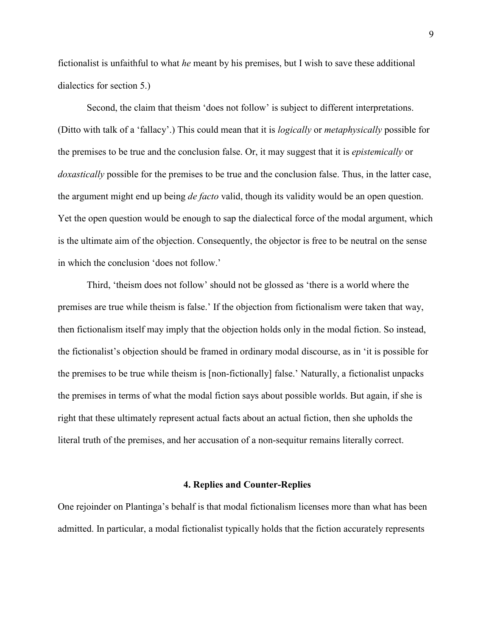fictionalist is unfaithful to what *he* meant by his premises, but I wish to save these additional dialectics for section 5.)

Second, the claim that theism 'does not follow' is subject to different interpretations. (Ditto with talk of a 'fallacy'.) This could mean that it is *logically* or *metaphysically* possible for the premises to be true and the conclusion false. Or, it may suggest that it is *epistemically* or *doxastically* possible for the premises to be true and the conclusion false. Thus, in the latter case, the argument might end up being *de facto* valid, though its validity would be an open question. Yet the open question would be enough to sap the dialectical force of the modal argument, which is the ultimate aim of the objection. Consequently, the objector is free to be neutral on the sense in which the conclusion 'does not follow.'

Third, 'theism does not follow' should not be glossed as 'there is a world where the premises are true while theism is false.' If the objection from fictionalism were taken that way, then fictionalism itself may imply that the objection holds only in the modal fiction. So instead, the fictionalist's objection should be framed in ordinary modal discourse, as in 'it is possible for the premises to be true while theism is [non-fictionally] false.' Naturally, a fictionalist unpacks the premises in terms of what the modal fiction says about possible worlds. But again, if she is right that these ultimately represent actual facts about an actual fiction, then she upholds the literal truth of the premises, and her accusation of a non-sequitur remains literally correct.

#### **4. Replies and Counter-Replies**

One rejoinder on Plantinga's behalf is that modal fictionalism licenses more than what has been admitted. In particular, a modal fictionalist typically holds that the fiction accurately represents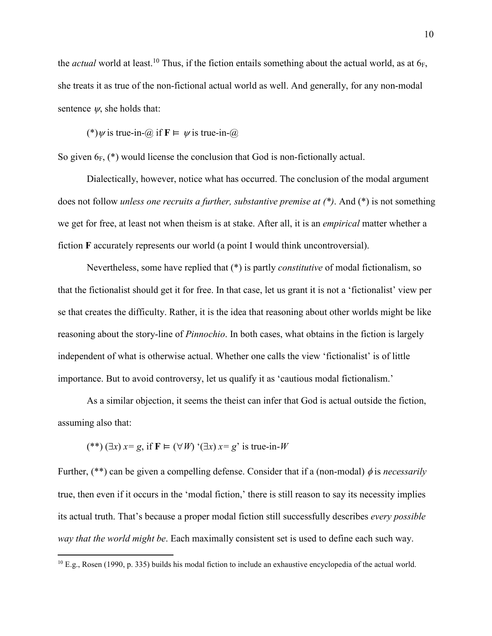the *actual* world at least.<sup>10</sup> Thus, if the fiction entails something about the actual world, as at 6<sub>F</sub>, she treats it as true of the non-fictional actual world as well. And generally, for any non-modal sentence  $\psi$ , she holds that:

(\*)  $\psi$  is true-in- $\omega$  if  $\mathbf{F} \models \psi$  is true-in- $\omega$ 

So given  $6_F$ , (\*) would license the conclusion that God is non-fictionally actual.

Dialectically, however, notice what has occurred. The conclusion of the modal argument does not follow *unless one recruits a further, substantive premise at (\*)*. And (\*) is not something we get for free, at least not when theism is at stake. After all, it is an *empirical* matter whether a fiction **F** accurately represents our world (a point I would think uncontroversial).

Nevertheless, some have replied that (\*) is partly *constitutive* of modal fictionalism, so that the fictionalist should get it for free. In that case, let us grant it is not a 'fictionalist' view per se that creates the difficulty. Rather, it is the idea that reasoning about other worlds might be like reasoning about the story-line of *Pinnochio*. In both cases, what obtains in the fiction is largely independent of what is otherwise actual. Whether one calls the view 'fictionalist' is of little importance. But to avoid controversy, let us qualify it as 'cautious modal fictionalism.'

As a similar objection, it seems the theist can infer that God is actual outside the fiction, assuming also that:

$$
(**)(\exists x) x=g, \text{ if } \mathbf{F} \models (\forall W) \land (\exists x) x=g' \text{ is true-in-}W
$$

 $\overline{a}$ 

Further, (\*\*) can be given a compelling defense. Consider that if a (non-modal) φ is *necessarily* true, then even if it occurs in the 'modal fiction,' there is still reason to say its necessity implies its actual truth. That's because a proper modal fiction still successfully describes *every possible way that the world might be*. Each maximally consistent set is used to define each such way.

 $10$  E.g., Rosen (1990, p. 335) builds his modal fiction to include an exhaustive encyclopedia of the actual world.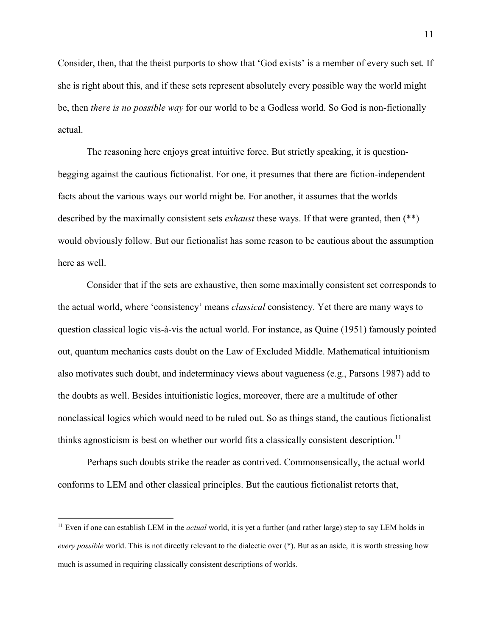Consider, then, that the theist purports to show that 'God exists' is a member of every such set. If she is right about this, and if these sets represent absolutely every possible way the world might be, then *there is no possible way* for our world to be a Godless world. So God is non-fictionally actual.

 The reasoning here enjoys great intuitive force. But strictly speaking, it is questionbegging against the cautious fictionalist. For one, it presumes that there are fiction-independent facts about the various ways our world might be. For another, it assumes that the worlds described by the maximally consistent sets *exhaust* these ways. If that were granted, then (\*\*) would obviously follow. But our fictionalist has some reason to be cautious about the assumption here as well.

Consider that if the sets are exhaustive, then some maximally consistent set corresponds to the actual world, where 'consistency' means *classical* consistency. Yet there are many ways to question classical logic vis-à-vis the actual world. For instance, as Quine (1951) famously pointed out, quantum mechanics casts doubt on the Law of Excluded Middle. Mathematical intuitionism also motivates such doubt, and indeterminacy views about vagueness (e.g., Parsons 1987) add to the doubts as well. Besides intuitionistic logics, moreover, there are a multitude of other nonclassical logics which would need to be ruled out. So as things stand, the cautious fictionalist thinks agnosticism is best on whether our world fits a classically consistent description.<sup>11</sup>

Perhaps such doubts strike the reader as contrived. Commonsensically, the actual world conforms to LEM and other classical principles. But the cautious fictionalist retorts that,

-

<sup>&</sup>lt;sup>11</sup> Even if one can establish LEM in the *actual* world, it is yet a further (and rather large) step to say LEM holds in *every possible* world. This is not directly relevant to the dialectic over (\*). But as an aside, it is worth stressing how much is assumed in requiring classically consistent descriptions of worlds.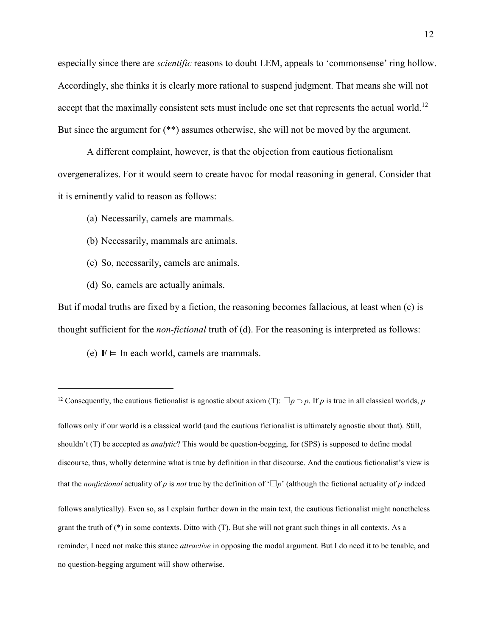especially since there are *scientific* reasons to doubt LEM, appeals to 'commonsense' ring hollow. Accordingly, she thinks it is clearly more rational to suspend judgment. That means she will not accept that the maximally consistent sets must include one set that represents the actual world.<sup>12</sup> But since the argument for (\*\*) assumes otherwise, she will not be moved by the argument.

A different complaint, however, is that the objection from cautious fictionalism overgeneralizes. For it would seem to create havoc for modal reasoning in general. Consider that it is eminently valid to reason as follows:

(a) Necessarily, camels are mammals.

- (b) Necessarily, mammals are animals.
- (c) So, necessarily, camels are animals.
- (d) So, camels are actually animals.

 $\overline{a}$ 

But if modal truths are fixed by a fiction, the reasoning becomes fallacious, at least when (c) is thought sufficient for the *non-fictional* truth of (d). For the reasoning is interpreted as follows:

(e)  $F \vDash$  In each world, camels are mammals.

<sup>&</sup>lt;sup>12</sup> Consequently, the cautious fictionalist is agnostic about axiom (T):  $\Box p \supset p$ . If *p* is true in all classical worlds, *p* follows only if our world is a classical world (and the cautious fictionalist is ultimately agnostic about that). Still, shouldn't (T) be accepted as *analytic*? This would be question-begging, for (SPS) is supposed to define modal discourse, thus, wholly determine what is true by definition in that discourse. And the cautious fictionalist's view is that the *nonfictional* actuality of *p* is *not* true by the definition of  $\Box p$ ' (although the fictional actuality of *p* indeed follows analytically). Even so, as I explain further down in the main text, the cautious fictionalist might nonetheless grant the truth of (\*) in some contexts. Ditto with (T). But she will not grant such things in all contexts. As a reminder, I need not make this stance *attractive* in opposing the modal argument. But I do need it to be tenable, and no question-begging argument will show otherwise.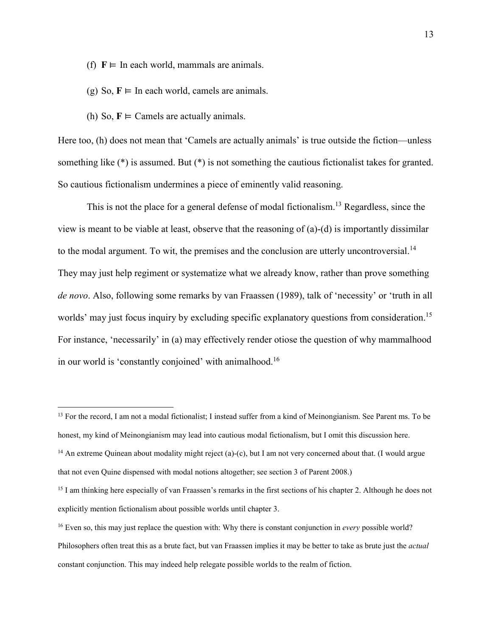- (f)  $F \models$  In each world, mammals are animals.
- (g) So,  $F \models$  In each world, camels are animals.
- (h) So,  $F \models$  Camels are actually animals.

 $\overline{a}$ 

Here too, (h) does not mean that 'Camels are actually animals' is true outside the fiction—unless something like  $(*)$  is assumed. But  $(*)$  is not something the cautious fictionalist takes for granted. So cautious fictionalism undermines a piece of eminently valid reasoning.

This is not the place for a general defense of modal fictionalism.<sup>13</sup> Regardless, since the view is meant to be viable at least, observe that the reasoning of (a)-(d) is importantly dissimilar to the modal argument. To wit, the premises and the conclusion are utterly uncontroversial.<sup>14</sup> They may just help regiment or systematize what we already know, rather than prove something *de novo*. Also, following some remarks by van Fraassen (1989), talk of 'necessity' or 'truth in all worlds' may just focus inquiry by excluding specific explanatory questions from consideration.<sup>15</sup> For instance, 'necessarily' in (a) may effectively render otiose the question of why mammalhood in our world is 'constantly conjoined' with animalhood.<sup>16</sup>

<sup>&</sup>lt;sup>13</sup> For the record, I am not a modal fictionalist; I instead suffer from a kind of Meinongianism. See Parent ms. To be honest, my kind of Meinongianism may lead into cautious modal fictionalism, but I omit this discussion here. <sup>14</sup> An extreme Quinean about modality might reject (a)-(c), but I am not very concerned about that. (I would argue that not even Quine dispensed with modal notions altogether; see section 3 of Parent 2008.)

<sup>&</sup>lt;sup>15</sup> I am thinking here especially of van Fraassen's remarks in the first sections of his chapter 2. Although he does not explicitly mention fictionalism about possible worlds until chapter 3.

<sup>16</sup> Even so, this may just replace the question with: Why there is constant conjunction in *every* possible world? Philosophers often treat this as a brute fact, but van Fraassen implies it may be better to take as brute just the *actual* constant conjunction. This may indeed help relegate possible worlds to the realm of fiction.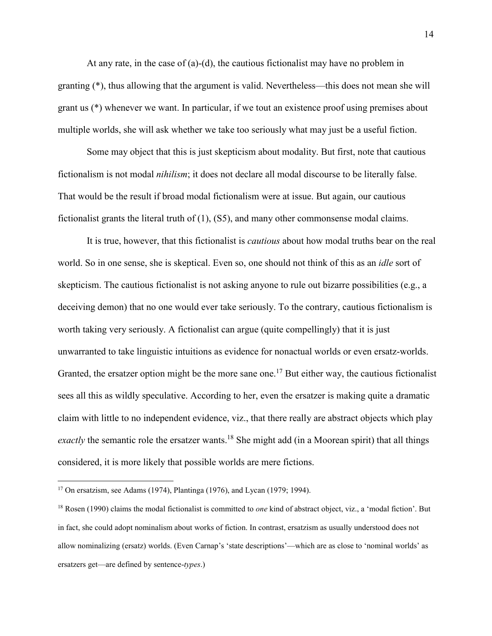At any rate, in the case of (a)-(d), the cautious fictionalist may have no problem in granting (\*), thus allowing that the argument is valid. Nevertheless—this does not mean she will grant us (\*) whenever we want. In particular, if we tout an existence proof using premises about multiple worlds, she will ask whether we take too seriously what may just be a useful fiction.

Some may object that this is just skepticism about modality. But first, note that cautious fictionalism is not modal *nihilism*; it does not declare all modal discourse to be literally false. That would be the result if broad modal fictionalism were at issue. But again, our cautious fictionalist grants the literal truth of (1), (S5), and many other commonsense modal claims.

It is true, however, that this fictionalist is *cautious* about how modal truths bear on the real world. So in one sense, she is skeptical. Even so, one should not think of this as an *idle* sort of skepticism. The cautious fictionalist is not asking anyone to rule out bizarre possibilities (e.g., a deceiving demon) that no one would ever take seriously. To the contrary, cautious fictionalism is worth taking very seriously. A fictionalist can argue (quite compellingly) that it is just unwarranted to take linguistic intuitions as evidence for nonactual worlds or even ersatz-worlds. Granted, the ersatzer option might be the more sane one.<sup>17</sup> But either way, the cautious fictionalist sees all this as wildly speculative. According to her, even the ersatzer is making quite a dramatic claim with little to no independent evidence, viz., that there really are abstract objects which play *exactly* the semantic role the ersatzer wants.<sup>18</sup> She might add (in a Moorean spirit) that all things considered, it is more likely that possible worlds are mere fictions.

 $\overline{a}$ <sup>17</sup> On ersatzism, see Adams (1974), Plantinga (1976), and Lycan (1979; 1994).

<sup>18</sup> Rosen (1990) claims the modal fictionalist is committed to *one* kind of abstract object, viz., a 'modal fiction'. But in fact, she could adopt nominalism about works of fiction. In contrast, ersatzism as usually understood does not allow nominalizing (ersatz) worlds. (Even Carnap's 'state descriptions'—which are as close to 'nominal worlds' as ersatzers get—are defined by sentence-*types*.)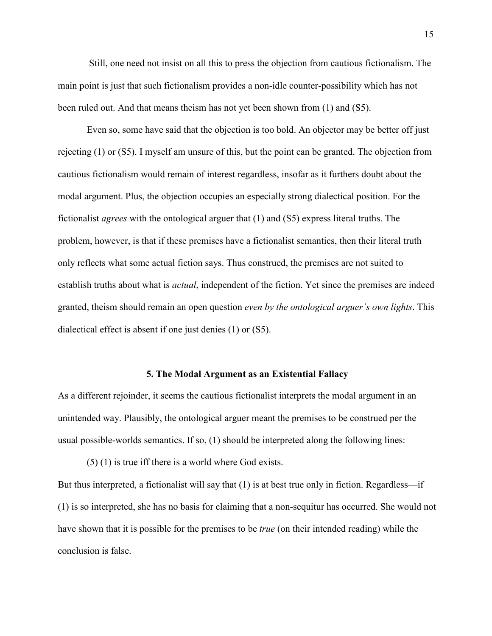Still, one need not insist on all this to press the objection from cautious fictionalism. The main point is just that such fictionalism provides a non-idle counter-possibility which has not been ruled out. And that means theism has not yet been shown from (1) and (S5).

Even so, some have said that the objection is too bold. An objector may be better off just rejecting (1) or (S5). I myself am unsure of this, but the point can be granted. The objection from cautious fictionalism would remain of interest regardless, insofar as it furthers doubt about the modal argument. Plus, the objection occupies an especially strong dialectical position. For the fictionalist *agrees* with the ontological arguer that (1) and (S5) express literal truths. The problem, however, is that if these premises have a fictionalist semantics, then their literal truth only reflects what some actual fiction says. Thus construed, the premises are not suited to establish truths about what is *actual*, independent of the fiction. Yet since the premises are indeed granted, theism should remain an open question *even by the ontological arguer's own lights*. This dialectical effect is absent if one just denies (1) or (S5).

#### **5. The Modal Argument as an Existential Fallacy**

As a different rejoinder, it seems the cautious fictionalist interprets the modal argument in an unintended way. Plausibly, the ontological arguer meant the premises to be construed per the usual possible-worlds semantics. If so, (1) should be interpreted along the following lines:

(5) (1) is true iff there is a world where God exists.

But thus interpreted, a fictionalist will say that (1) is at best true only in fiction. Regardless—if (1) is so interpreted, she has no basis for claiming that a non-sequitur has occurred. She would not have shown that it is possible for the premises to be *true* (on their intended reading) while the conclusion is false.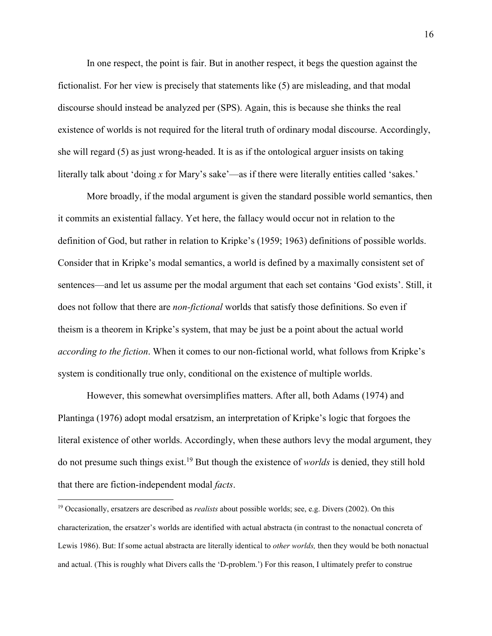In one respect, the point is fair. But in another respect, it begs the question against the fictionalist. For her view is precisely that statements like (5) are misleading, and that modal discourse should instead be analyzed per (SPS). Again, this is because she thinks the real existence of worlds is not required for the literal truth of ordinary modal discourse. Accordingly, she will regard (5) as just wrong-headed. It is as if the ontological arguer insists on taking literally talk about 'doing x for Mary's sake'—as if there were literally entities called 'sakes.'

More broadly, if the modal argument is given the standard possible world semantics, then it commits an existential fallacy. Yet here, the fallacy would occur not in relation to the definition of God, but rather in relation to Kripke's (1959; 1963) definitions of possible worlds. Consider that in Kripke's modal semantics, a world is defined by a maximally consistent set of sentences—and let us assume per the modal argument that each set contains 'God exists'. Still, it does not follow that there are *non-fictional* worlds that satisfy those definitions. So even if theism is a theorem in Kripke's system, that may be just be a point about the actual world *according to the fiction*. When it comes to our non-fictional world, what follows from Kripke's system is conditionally true only, conditional on the existence of multiple worlds.

However, this somewhat oversimplifies matters. After all, both Adams (1974) and Plantinga (1976) adopt modal ersatzism, an interpretation of Kripke's logic that forgoes the literal existence of other worlds. Accordingly, when these authors levy the modal argument, they do not presume such things exist.<sup>19</sup> But though the existence of *worlds* is denied, they still hold that there are fiction-independent modal *facts*.

 $\overline{a}$ 

<sup>19</sup> Occasionally, ersatzers are described as *realists* about possible worlds; see, e.g. Divers (2002). On this characterization, the ersatzer's worlds are identified with actual abstracta (in contrast to the nonactual concreta of Lewis 1986). But: If some actual abstracta are literally identical to *other worlds,* then they would be both nonactual and actual. (This is roughly what Divers calls the 'D-problem.') For this reason, I ultimately prefer to construe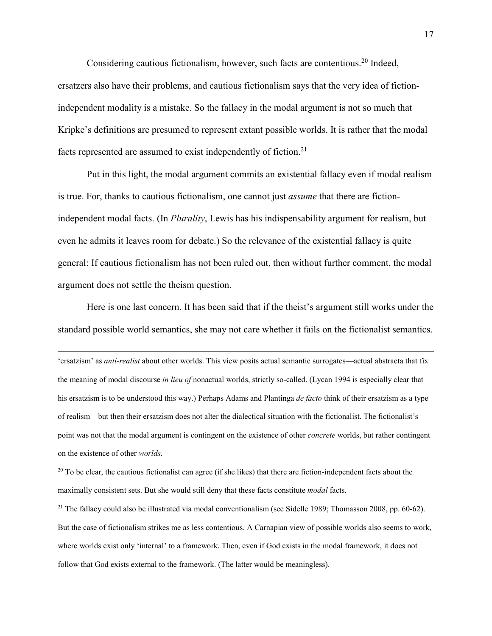Considering cautious fictionalism, however, such facts are contentious.<sup>20</sup> Indeed, ersatzers also have their problems, and cautious fictionalism says that the very idea of fictionindependent modality is a mistake. So the fallacy in the modal argument is not so much that Kripke's definitions are presumed to represent extant possible worlds. It is rather that the modal facts represented are assumed to exist independently of fiction.<sup>21</sup>

Put in this light, the modal argument commits an existential fallacy even if modal realism is true. For, thanks to cautious fictionalism, one cannot just *assume* that there are fictionindependent modal facts. (In *Plurality*, Lewis has his indispensability argument for realism, but even he admits it leaves room for debate.) So the relevance of the existential fallacy is quite general: If cautious fictionalism has not been ruled out, then without further comment, the modal argument does not settle the theism question.

Here is one last concern. It has been said that if the theist's argument still works under the standard possible world semantics, she may not care whether it fails on the fictionalist semantics.

-

'ersatzism' as *anti-realist* about other worlds. This view posits actual semantic surrogates—actual abstracta that fix the meaning of modal discourse *in lieu of* nonactual worlds, strictly so-called. (Lycan 1994 is especially clear that his ersatzism is to be understood this way.) Perhaps Adams and Plantinga *de facto* think of their ersatzism as a type of realism—but then their ersatzism does not alter the dialectical situation with the fictionalist. The fictionalist's point was not that the modal argument is contingent on the existence of other *concrete* worlds, but rather contingent on the existence of other *worlds*.

 $20$  To be clear, the cautious fictionalist can agree (if she likes) that there are fiction-independent facts about the maximally consistent sets. But she would still deny that these facts constitute *modal* facts.

<sup>21</sup> The fallacy could also be illustrated via modal conventionalism (see Sidelle 1989; Thomasson 2008, pp. 60-62). But the case of fictionalism strikes me as less contentious. A Carnapian view of possible worlds also seems to work, where worlds exist only 'internal' to a framework. Then, even if God exists in the modal framework, it does not follow that God exists external to the framework. (The latter would be meaningless).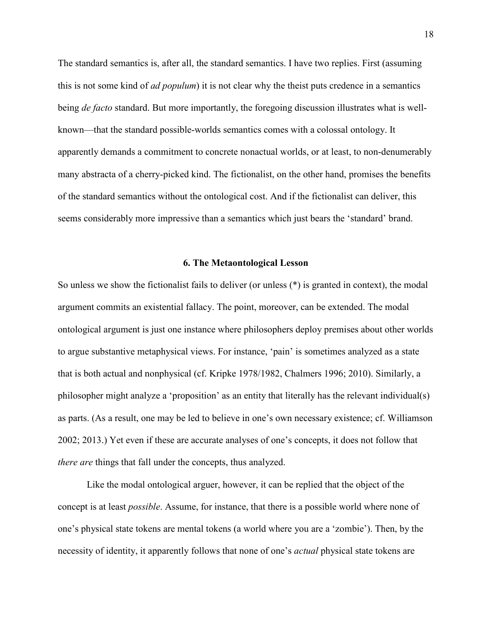The standard semantics is, after all, the standard semantics. I have two replies. First (assuming this is not some kind of *ad populum*) it is not clear why the theist puts credence in a semantics being *de facto* standard. But more importantly, the foregoing discussion illustrates what is wellknown—that the standard possible-worlds semantics comes with a colossal ontology. It apparently demands a commitment to concrete nonactual worlds, or at least, to non-denumerably many abstracta of a cherry-picked kind. The fictionalist, on the other hand, promises the benefits of the standard semantics without the ontological cost. And if the fictionalist can deliver, this seems considerably more impressive than a semantics which just bears the 'standard' brand.

### **6. The Metaontological Lesson**

So unless we show the fictionalist fails to deliver (or unless (\*) is granted in context), the modal argument commits an existential fallacy. The point, moreover, can be extended. The modal ontological argument is just one instance where philosophers deploy premises about other worlds to argue substantive metaphysical views. For instance, 'pain' is sometimes analyzed as a state that is both actual and nonphysical (cf. Kripke 1978/1982, Chalmers 1996; 2010). Similarly, a philosopher might analyze a 'proposition' as an entity that literally has the relevant individual(s) as parts. (As a result, one may be led to believe in one's own necessary existence; cf. Williamson 2002; 2013.) Yet even if these are accurate analyses of one's concepts, it does not follow that *there are* things that fall under the concepts, thus analyzed.

Like the modal ontological arguer, however, it can be replied that the object of the concept is at least *possible*. Assume, for instance, that there is a possible world where none of one's physical state tokens are mental tokens (a world where you are a 'zombie'). Then, by the necessity of identity, it apparently follows that none of one's *actual* physical state tokens are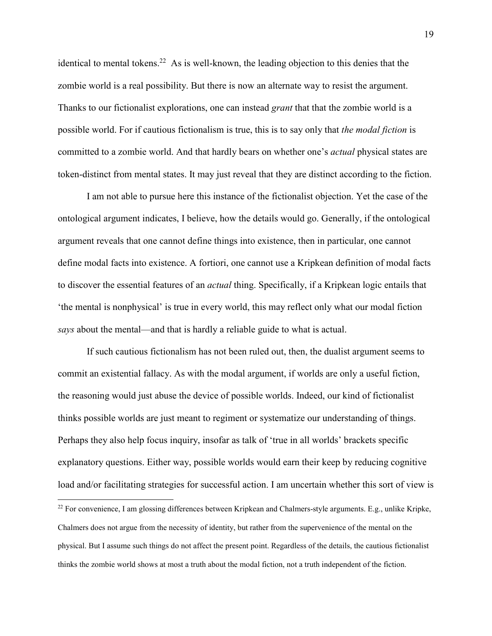identical to mental tokens.<sup>22</sup> As is well-known, the leading objection to this denies that the zombie world is a real possibility. But there is now an alternate way to resist the argument. Thanks to our fictionalist explorations, one can instead *grant* that that the zombie world is a possible world. For if cautious fictionalism is true, this is to say only that *the modal fiction* is committed to a zombie world. And that hardly bears on whether one's *actual* physical states are token-distinct from mental states. It may just reveal that they are distinct according to the fiction.

I am not able to pursue here this instance of the fictionalist objection. Yet the case of the ontological argument indicates, I believe, how the details would go. Generally, if the ontological argument reveals that one cannot define things into existence, then in particular, one cannot define modal facts into existence. A fortiori, one cannot use a Kripkean definition of modal facts to discover the essential features of an *actual* thing. Specifically, if a Kripkean logic entails that 'the mental is nonphysical' is true in every world, this may reflect only what our modal fiction *says* about the mental—and that is hardly a reliable guide to what is actual.

If such cautious fictionalism has not been ruled out, then, the dualist argument seems to commit an existential fallacy. As with the modal argument, if worlds are only a useful fiction, the reasoning would just abuse the device of possible worlds. Indeed, our kind of fictionalist thinks possible worlds are just meant to regiment or systematize our understanding of things. Perhaps they also help focus inquiry, insofar as talk of 'true in all worlds' brackets specific explanatory questions. Either way, possible worlds would earn their keep by reducing cognitive load and/or facilitating strategies for successful action. I am uncertain whether this sort of view is

-

 $22$  For convenience, I am glossing differences between Kripkean and Chalmers-style arguments. E.g., unlike Kripke, Chalmers does not argue from the necessity of identity, but rather from the supervenience of the mental on the physical. But I assume such things do not affect the present point. Regardless of the details, the cautious fictionalist thinks the zombie world shows at most a truth about the modal fiction, not a truth independent of the fiction.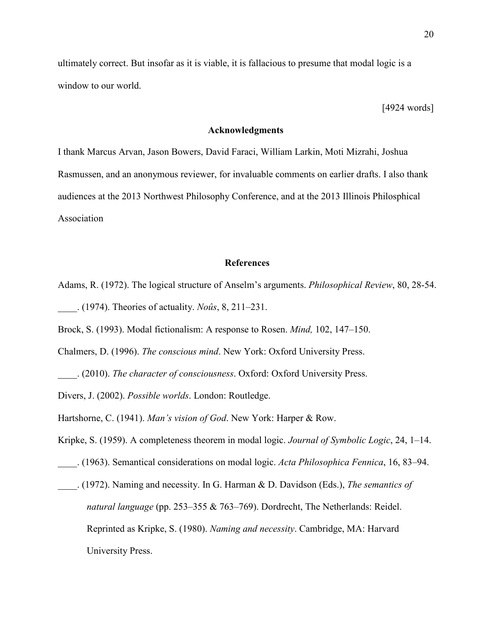ultimately correct. But insofar as it is viable, it is fallacious to presume that modal logic is a window to our world.

[4924 words]

#### **Acknowledgments**

I thank Marcus Arvan, Jason Bowers, David Faraci, William Larkin, Moti Mizrahi, Joshua Rasmussen, and an anonymous reviewer, for invaluable comments on earlier drafts. I also thank audiences at the 2013 Northwest Philosophy Conference, and at the 2013 Illinois Philosphical Association

## **References**

Adams, R. (1972). The logical structure of Anselm's arguments. *Philosophical Review*, 80, 28-54. \_\_\_\_. (1974). Theories of actuality. *Noûs*, 8, 211–231.

Brock, S. (1993). Modal fictionalism: A response to Rosen. *Mind,* 102, 147–150.

Chalmers, D. (1996). *The conscious mind*. New York: Oxford University Press.

\_\_\_\_. (2010). *The character of consciousness*. Oxford: Oxford University Press.

Divers, J. (2002). *Possible worlds*. London: Routledge.

Hartshorne, C. (1941). *Man's vision of God*. New York: Harper & Row.

Kripke, S. (1959). A completeness theorem in modal logic. *Journal of Symbolic Logic*, 24, 1–14.

- \_\_\_\_. (1963). Semantical considerations on modal logic. *Acta Philosophica Fennica*, 16, 83–94.
- \_\_\_\_. (1972). Naming and necessity. In G. Harman & D. Davidson (Eds.), *The semantics of natural language* (pp. 253–355 & 763–769). Dordrecht, The Netherlands: Reidel. Reprinted as Kripke, S. (1980). *Naming and necessity*. Cambridge, MA: Harvard University Press.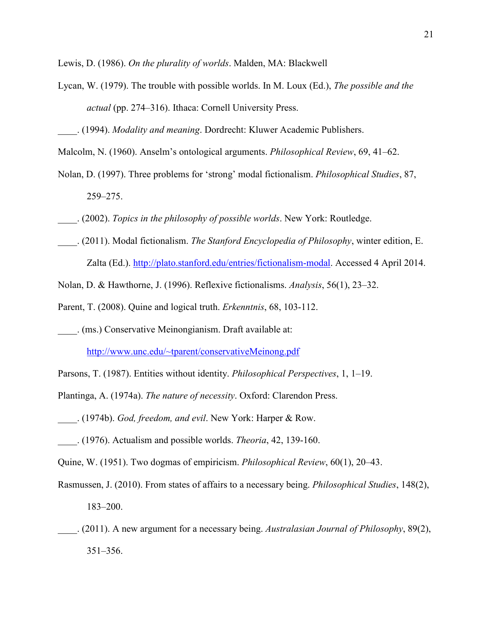Lewis, D. (1986). *On the plurality of worlds*. Malden, MA: Blackwell

- Lycan, W. (1979). The trouble with possible worlds. In M. Loux (Ed.), *The possible and the actual* (pp. 274–316). Ithaca: Cornell University Press.
- \_\_\_\_. (1994). *Modality and meaning*. Dordrecht: Kluwer Academic Publishers.
- Malcolm, N. (1960). Anselm's ontological arguments. *Philosophical Review*, 69, 41–62.
- Nolan, D. (1997). Three problems for 'strong' modal fictionalism. *Philosophical Studies*, 87, 259–275.
- \_\_\_\_. (2002). *Topics in the philosophy of possible worlds*. New York: Routledge.
- \_\_\_\_. (2011). Modal fictionalism. *The Stanford Encyclopedia of Philosophy*, winter edition, E. Zalta (Ed.). http://plato.stanford.edu/entries/fictionalism-modal. Accessed 4 April 2014.
- Nolan, D. & Hawthorne, J. (1996). Reflexive fictionalisms. *Analysis*, 56(1), 23–32.
- Parent, T. (2008). Quine and logical truth. *Erkenntnis*, 68, 103-112.
- \_\_\_\_. (ms.) Conservative Meinongianism. Draft available at:

http://www.unc.edu/~tparent/conservativeMeinong.pdf

- Parsons, T. (1987). Entities without identity. *Philosophical Perspectives*, 1, 1–19.
- Plantinga, A. (1974a). *The nature of necessity*. Oxford: Clarendon Press.
- \_\_\_\_. (1974b). *God, freedom, and evil*. New York: Harper & Row.
- \_\_\_\_. (1976). Actualism and possible worlds. *Theoria*, 42, 139-160.
- Quine, W. (1951). Two dogmas of empiricism. *Philosophical Review*, 60(1), 20–43.
- Rasmussen, J. (2010). From states of affairs to a necessary being. *Philosophical Studies*, 148(2), 183–200.
- \_\_\_\_. (2011). A new argument for a necessary being. *Australasian Journal of Philosophy*, 89(2), 351–356.